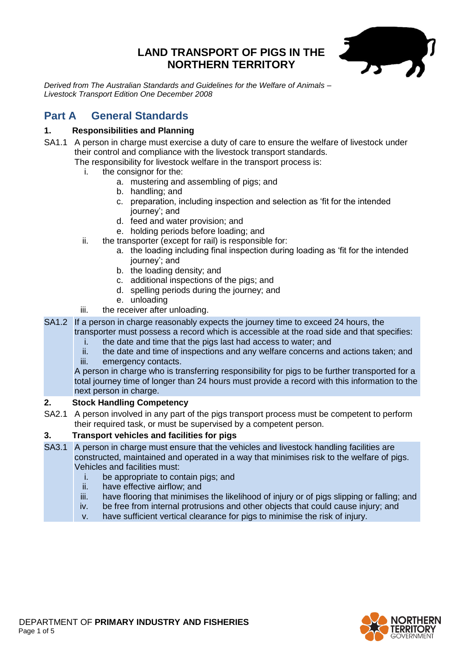# **LAND TRANSPORT OF PIGS IN THE NORTHERN TERRITORY**



*Derived from The Australian Standards and Guidelines for the Welfare of Animals – Livestock Transport Edition One December 2008*

# **Part A General Standards**

# **1. Responsibilities and Planning**

SA1.1 A person in charge must exercise a duty of care to ensure the welfare of livestock under their control and compliance with the livestock transport standards.

The responsibility for livestock welfare in the transport process is:

- i. the consignor for the:
	- a. mustering and assembling of pigs; and
	- b. handling; and
	- c. preparation, including inspection and selection as 'fit for the intended journey'; and
	- d. feed and water provision; and
	- e. holding periods before loading; and
- ii. the transporter (except for rail) is responsible for:
	- a. the loading including final inspection during loading as 'fit for the intended journey'; and
	- b. the loading density; and
	- c. additional inspections of the pigs; and
	- d. spelling periods during the journey; and
	- e. unloading
- iii. the receiver after unloading.

SA1.2 If a person in charge reasonably expects the journey time to exceed 24 hours, the transporter must possess a record which is accessible at the road side and that specifies:

- i. the date and time that the pigs last had access to water; and
- ii. the date and time of inspections and any welfare concerns and actions taken; and
- iii. emergency contacts.

A person in charge who is transferring responsibility for pigs to be further transported for a total journey time of longer than 24 hours must provide a record with this information to the next person in charge.

## **2. Stock Handling Competency**

SA2.1 A person involved in any part of the pigs transport process must be competent to perform their required task, or must be supervised by a competent person.

## **3. Transport vehicles and facilities for pigs**

- SA3.1 A person in charge must ensure that the vehicles and livestock handling facilities are constructed, maintained and operated in a way that minimises risk to the welfare of pigs. Vehicles and facilities must:
	- i. be appropriate to contain pigs; and
	- ii. have effective airflow; and
	- iii. have flooring that minimises the likelihood of injury or of pigs slipping or falling; and
	- iv. be free from internal protrusions and other objects that could cause injury; and
	- v. have sufficient vertical clearance for pigs to minimise the risk of injury.

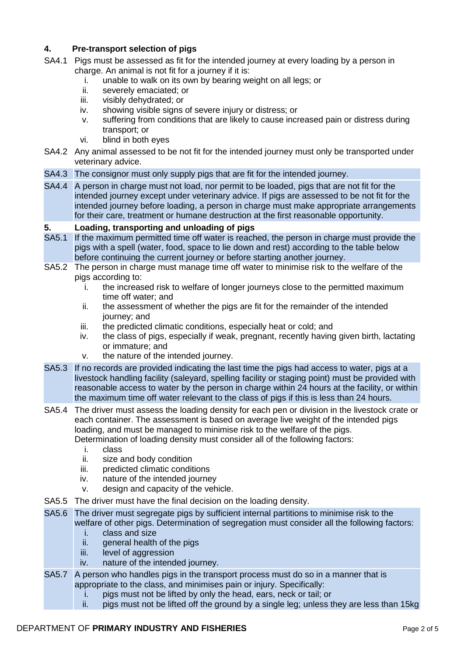## **4. Pre-transport selection of pigs**

- SA4.1 Pigs must be assessed as fit for the intended journey at every loading by a person in charge. An animal is not fit for a journey if it is:
	- i. unable to walk on its own by bearing weight on all legs; or
	- ii. severely emaciated; or
	- iii. visibly dehydrated; or
	- iv. showing visible signs of severe injury or distress; or
	- v. suffering from conditions that are likely to cause increased pain or distress during transport; or
	- vi. blind in both eyes
- SA4.2 Any animal assessed to be not fit for the intended journey must only be transported under veterinary advice.
- SA4.3 The consignor must only supply pigs that are fit for the intended journey.
- SA4.4 A person in charge must not load, nor permit to be loaded, pigs that are not fit for the intended journey except under veterinary advice. If pigs are assessed to be not fit for the intended journey before loading, a person in charge must make appropriate arrangements for their care, treatment or humane destruction at the first reasonable opportunity.

#### **5. Loading, transporting and unloading of pigs**

- SA5.1 If the maximum permitted time off water is reached, the person in charge must provide the pigs with a spell (water, food, space to lie down and rest) according to the table below before continuing the current journey or before starting another journey.
- SA5.2 The person in charge must manage time off water to minimise risk to the welfare of the pigs according to:
	- i. the increased risk to welfare of longer journeys close to the permitted maximum time off water; and
	- ii. the assessment of whether the pigs are fit for the remainder of the intended journey; and
	- iii. the predicted climatic conditions, especially heat or cold; and
	- iv. the class of pigs, especially if weak, pregnant, recently having given birth, lactating or immature; and
	- v. the nature of the intended journey.
- SA5.3 If no records are provided indicating the last time the pigs had access to water, pigs at a livestock handling facility (saleyard, spelling facility or staging point) must be provided with reasonable access to water by the person in charge within 24 hours at the facility, or within the maximum time off water relevant to the class of pigs if this is less than 24 hours.
- SA5.4 The driver must assess the loading density for each pen or division in the livestock crate or each container. The assessment is based on average live weight of the intended pigs loading, and must be managed to minimise risk to the welfare of the pigs. Determination of loading density must consider all of the following factors:
	- i. class
	- ii. size and body condition
	- iii. predicted climatic conditions
	- iv. nature of the intended journey
	- v. design and capacity of the vehicle.
- SA5.5 The driver must have the final decision on the loading density.
- SA5.6 The driver must segregate pigs by sufficient internal partitions to minimise risk to the welfare of other pigs. Determination of segregation must consider all the following factors:<br>i. class and size
	- class and size
	- ii. general health of the pigs
	- iii. level of aggression
	- iv. nature of the intended journey.
- SA5.7 A person who handles pigs in the transport process must do so in a manner that is appropriate to the class, and minimises pain or injury. Specifically:
	- i. pigs must not be lifted by only the head, ears, neck or tail; or
	- ii. pigs must not be lifted off the ground by a single leg; unless they are less than 15kg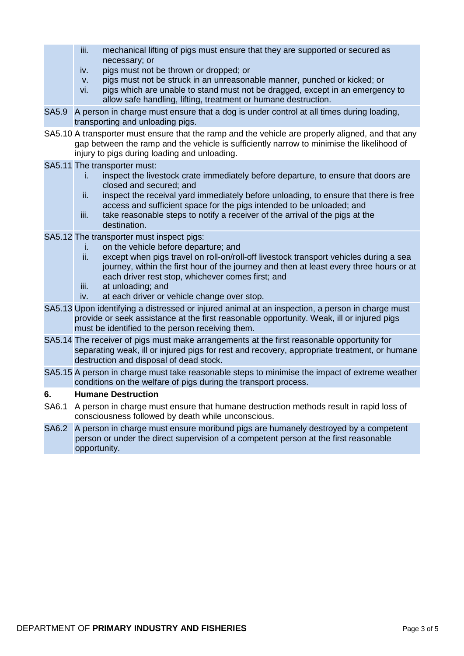- iii. mechanical lifting of pigs must ensure that they are supported or secured as necessary; or
	- iv. pigs must not be thrown or dropped; or
- v. pigs must not be struck in an unreasonable manner, punched or kicked; or
- vi. pigs which are unable to stand must not be dragged, except in an emergency to allow safe handling, lifting, treatment or humane destruction.
- SA5.9 A person in charge must ensure that a dog is under control at all times during loading, transporting and unloading pigs.
- SA5.10 A transporter must ensure that the ramp and the vehicle are properly aligned, and that any gap between the ramp and the vehicle is sufficiently narrow to minimise the likelihood of injury to pigs during loading and unloading.
- SA5.11 The transporter must:
	- i. inspect the livestock crate immediately before departure, to ensure that doors are closed and secured; and
	- ii. inspect the receival yard immediately before unloading, to ensure that there is free access and sufficient space for the pigs intended to be unloaded; and
	- iii. take reasonable steps to notify a receiver of the arrival of the pigs at the destination.
- SA5.12 The transporter must inspect pigs:
	- i. on the vehicle before departure; and
	- ii. except when pigs travel on roll-on/roll-off livestock transport vehicles during a sea journey, within the first hour of the journey and then at least every three hours or at each driver rest stop, whichever comes first; and
	- iii. at unloading; and
	- iv. at each driver or vehicle change over stop.
- SA5.13 Upon identifying a distressed or injured animal at an inspection, a person in charge must provide or seek assistance at the first reasonable opportunity. Weak, ill or injured pigs must be identified to the person receiving them.
- SA5.14 The receiver of pigs must make arrangements at the first reasonable opportunity for separating weak, ill or injured pigs for rest and recovery, appropriate treatment, or humane destruction and disposal of dead stock.
- SA5.15 A person in charge must take reasonable steps to minimise the impact of extreme weather conditions on the welfare of pigs during the transport process.

### **6. Humane Destruction**

- SA6.1 A person in charge must ensure that humane destruction methods result in rapid loss of consciousness followed by death while unconscious.
- SA6.2 A person in charge must ensure moribund pigs are humanely destroyed by a competent person or under the direct supervision of a competent person at the first reasonable opportunity.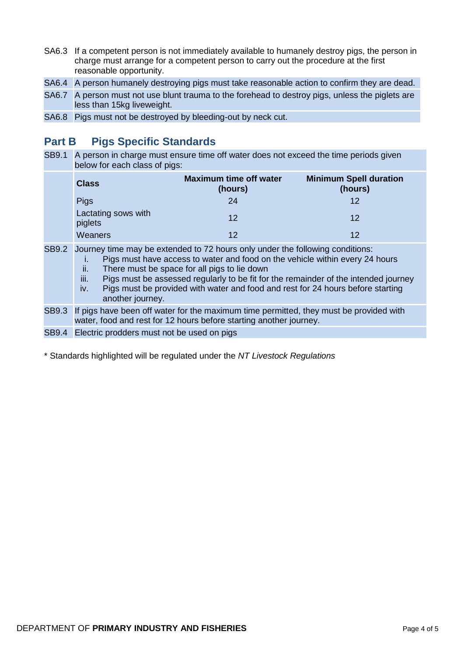- SA6.3 If a competent person is not immediately available to humanely destroy pigs, the person in charge must arrange for a competent person to carry out the procedure at the first reasonable opportunity.
- SA6.4 A person humanely destroying pigs must take reasonable action to confirm they are dead.
- SA6.7 A person must not use blunt trauma to the forehead to destroy pigs, unless the piglets are less than 15kg liveweight.
- SA6.8 Pigs must not be destroyed by bleeding-out by neck cut.

# **Part B Pigs Specific Standards**

SB9.1 A person in charge must ensure time off water does not exceed the time periods given below for each class of pigs:

| <b>Class</b>                   | <b>Maximum time off water</b><br>(hours) | <b>Minimum Spell duration</b><br>(hours) |
|--------------------------------|------------------------------------------|------------------------------------------|
| <b>Pigs</b>                    | 24                                       | 12                                       |
| Lactating sows with<br>piglets | 12                                       | 12                                       |
| Weaners                        | 12                                       | 12                                       |

- SB9.2 Journey time may be extended to 72 hours only under the following conditions:
	- i. Pigs must have access to water and food on the vehicle within every 24 hours
	- ii. There must be space for all pigs to lie down
	- iii. Pigs must be assessed regularly to be fit for the remainder of the intended journey
	- iv. Pigs must be provided with water and food and rest for 24 hours before starting another journey.
- SB9.3 If pigs have been off water for the maximum time permitted, they must be provided with water, food and rest for 12 hours before starting another journey.
- SB9.4 Electric prodders must not be used on pigs

\* Standards highlighted will be regulated under the *NT Livestock Regulations*